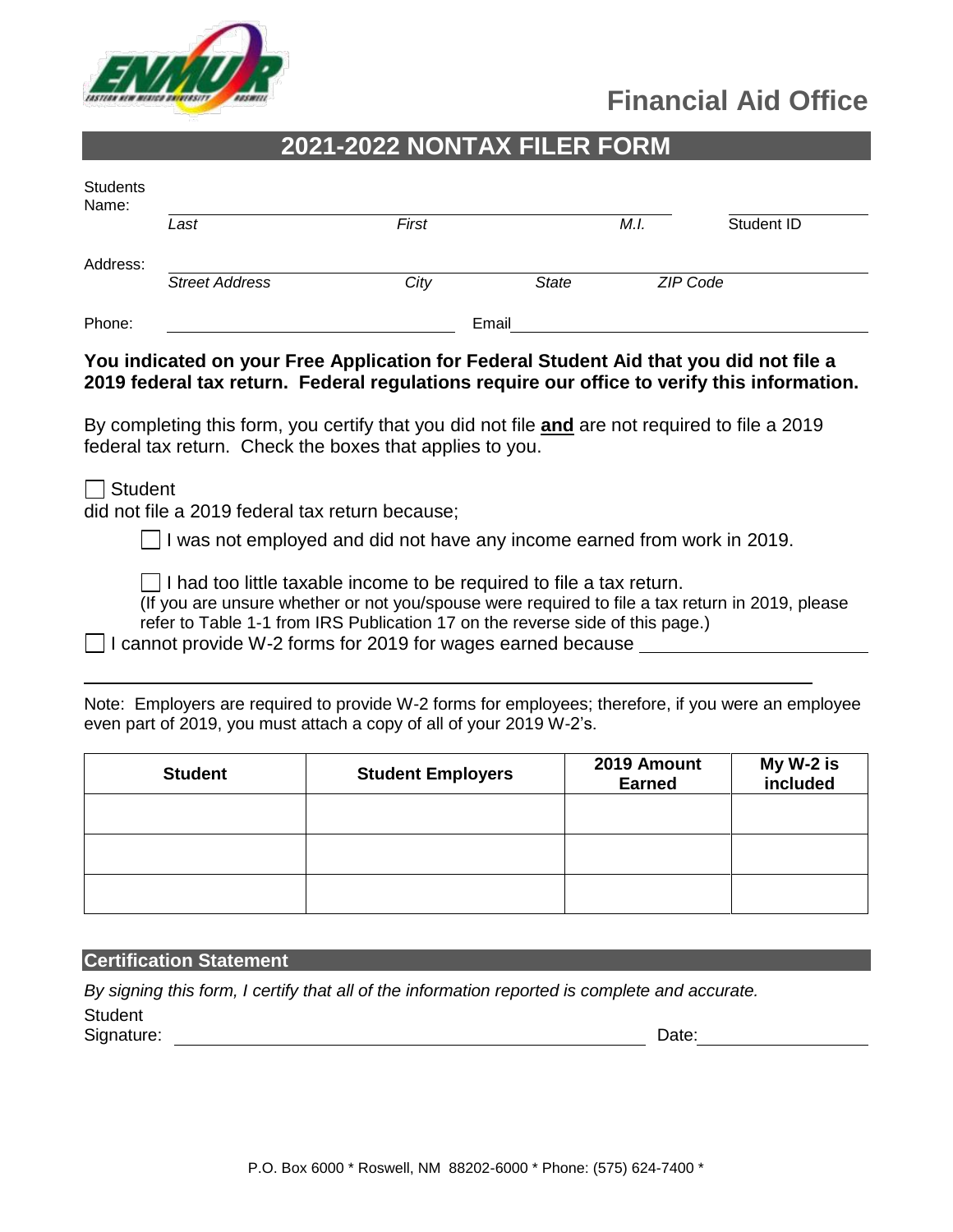

# **Financial Aid Office**

## **2021-2022 NONTAX FILER FORM**

| Students<br>Name: |                       |       |              |      |            |
|-------------------|-----------------------|-------|--------------|------|------------|
|                   | Last                  | First |              | M.I. | Student ID |
| Address:          |                       |       |              |      |            |
|                   | <b>Street Address</b> | City  | <b>State</b> |      | ZIP Code   |
| Phone:            |                       |       | Email        |      |            |

#### **You indicated on your Free Application for Federal Student Aid that you did not file a 2019 federal tax return. Federal regulations require our office to verify this information.**

By completing this form, you certify that you did not file **and** are not required to file a 2019 federal tax return. Check the boxes that applies to you.

Student

did not file a 2019 federal tax return because;

 $\Box$  I was not employed and did not have any income earned from work in 2019.

 $\Box$  I had too little taxable income to be required to file a tax return.

(If you are unsure whether or not you/spouse were required to file a tax return in 2019, please refer to Table 1-1 from IRS Publication 17 on the reverse side of this page.)

 $\Box$  I cannot provide W-2 forms for 2019 for wages earned because

Note: Employers are required to provide W-2 forms for employees; therefore, if you were an employee even part of 2019, you must attach a copy of all of your 2019 W-2's.

| <b>Student</b> | <b>Student Employers</b> | 2019 Amount<br><b>Earned</b> | My W-2 is<br>included |
|----------------|--------------------------|------------------------------|-----------------------|
|                |                          |                              |                       |
|                |                          |                              |                       |
|                |                          |                              |                       |

**Certification Statement Certification Statement** 

*By signing this form, I certify that all of the information reported is complete and accurate.*  **Student** 

Signature: Date: Date: Date: Date: Date: Date: Date: Date: Date: Date: Date: Date: Date: Date: Date: Date: Date: Date: Date: Date: Date: Date: Date: Date: Date: Date: Date: Date: Date: Date: Date: Date: Date: Date: Date: D